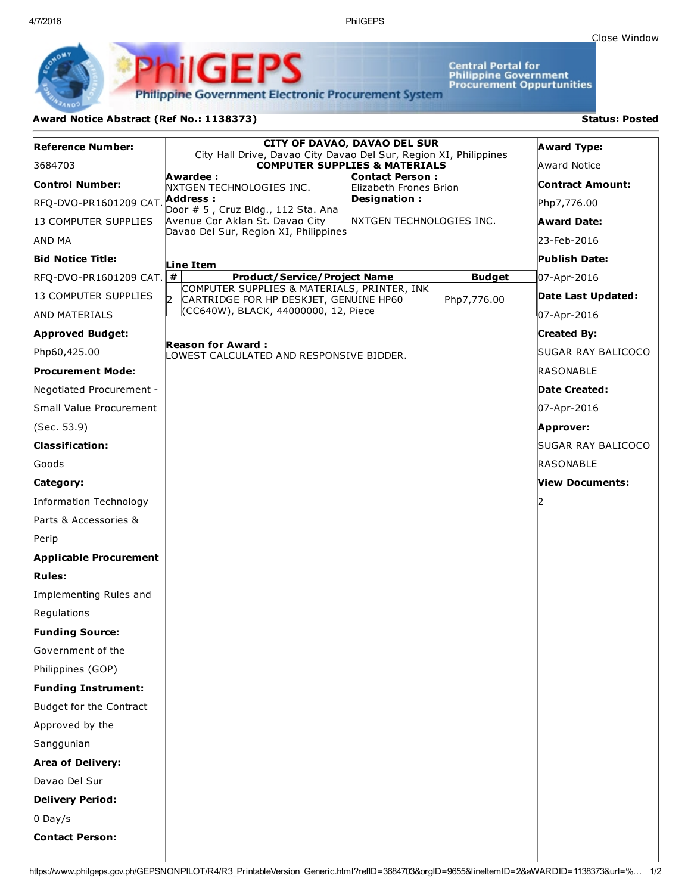4/7/2016 PhilGEPS

Central Portal for<br>Philippine Government<br>Procurement Oppurtunities

**Philippine Government Electronic Procurement System** 

PS

iliGEI

## Award Notice Abstract (Ref No.: 1138373) Status: Posted

Ph

| <b>Reference Number:</b>       | <b>CITY OF DAVAO, DAVAO DEL SUR</b><br>City Hall Drive, Davao City Davao Del Sur, Region XI, Philippines |               | <b>Award Type:</b>      |
|--------------------------------|----------------------------------------------------------------------------------------------------------|---------------|-------------------------|
| 3684703                        | <b>COMPUTER SUPPLIES &amp; MATERIALS</b>                                                                 |               | Award Notice            |
| <b>Control Number:</b>         | Awardee:<br><b>Contact Person:</b><br>Elizabeth Frones Brion<br>NXTGEN TECHNOLOGIES INC.                 |               | <b>Contract Amount:</b> |
| RFQ-DVO-PR1601209 CAT.         | Address:<br>Designation:<br>Door # 5, Cruz Bldg., 112 Sta. Ana                                           |               | Php7,776.00             |
| 13 COMPUTER SUPPLIES           | Avenue Cor Aklan St. Davao City<br>NXTGEN TECHNOLOGIES INC.                                              |               | <b>Award Date:</b>      |
| AND MA                         | Davao Del Sur, Region XI, Philippines                                                                    |               | 23-Feb-2016             |
| <b>Bid Notice Title:</b>       | Line Item                                                                                                |               | Publish Date:           |
| RFQ-DVO-PR1601209 CAT.         | $\pmb{\#}$<br><b>Product/Service/Project Name</b>                                                        | <b>Budget</b> | 07-Apr-2016             |
| 13 COMPUTER SUPPLIES           | COMPUTER SUPPLIES & MATERIALS, PRINTER, INK<br>12.<br>CARTRIDGE FOR HP DESKJET, GENUINE HP60             | Php7,776.00   | Date Last Updated:      |
| <b>AND MATERIALS</b>           | (CC640W), BLACK, 44000000, 12, Piece                                                                     |               | 07-Apr-2016             |
| <b>Approved Budget:</b>        |                                                                                                          |               | <b>Created By:</b>      |
| Php60,425.00                   | <b>Reason for Award :</b><br>LOWEST CALCULATED AND RESPONSIVE BIDDER.                                    |               | SUGAR RAY BALICOCO      |
| <b>Procurement Mode:</b>       |                                                                                                          |               | RASONABLE               |
| Negotiated Procurement -       |                                                                                                          |               | Date Created:           |
| <b>Small Value Procurement</b> |                                                                                                          |               | 07-Apr-2016             |
| (Sec. 53.9)                    |                                                                                                          |               | Approver:               |
| <b>Classification:</b>         |                                                                                                          |               | SUGAR RAY BALICOCO      |
| lGoods                         |                                                                                                          |               | RASONABLE               |
| Category:                      |                                                                                                          |               | View Documents:         |
| Information Technology         |                                                                                                          |               |                         |
| Parts & Accessories &          |                                                                                                          |               |                         |
| Perip                          |                                                                                                          |               |                         |
| <b>Applicable Procurement</b>  |                                                                                                          |               |                         |
| <b>Rules:</b>                  |                                                                                                          |               |                         |
| Implementing Rules and         |                                                                                                          |               |                         |
| Regulations                    |                                                                                                          |               |                         |
| <b>Funding Source:</b>         |                                                                                                          |               |                         |
| Government of the              |                                                                                                          |               |                         |
| Philippines (GOP)              |                                                                                                          |               |                         |
| <b>Funding Instrument:</b>     |                                                                                                          |               |                         |
| Budget for the Contract        |                                                                                                          |               |                         |
| Approved by the                |                                                                                                          |               |                         |
| Sanggunian                     |                                                                                                          |               |                         |
| <b>Area of Delivery:</b>       |                                                                                                          |               |                         |
| Davao Del Sur                  |                                                                                                          |               |                         |
| <b>Delivery Period:</b>        |                                                                                                          |               |                         |
| $0$ Day/s                      |                                                                                                          |               |                         |
| <b>Contact Person:</b>         |                                                                                                          |               |                         |
|                                |                                                                                                          |               |                         |